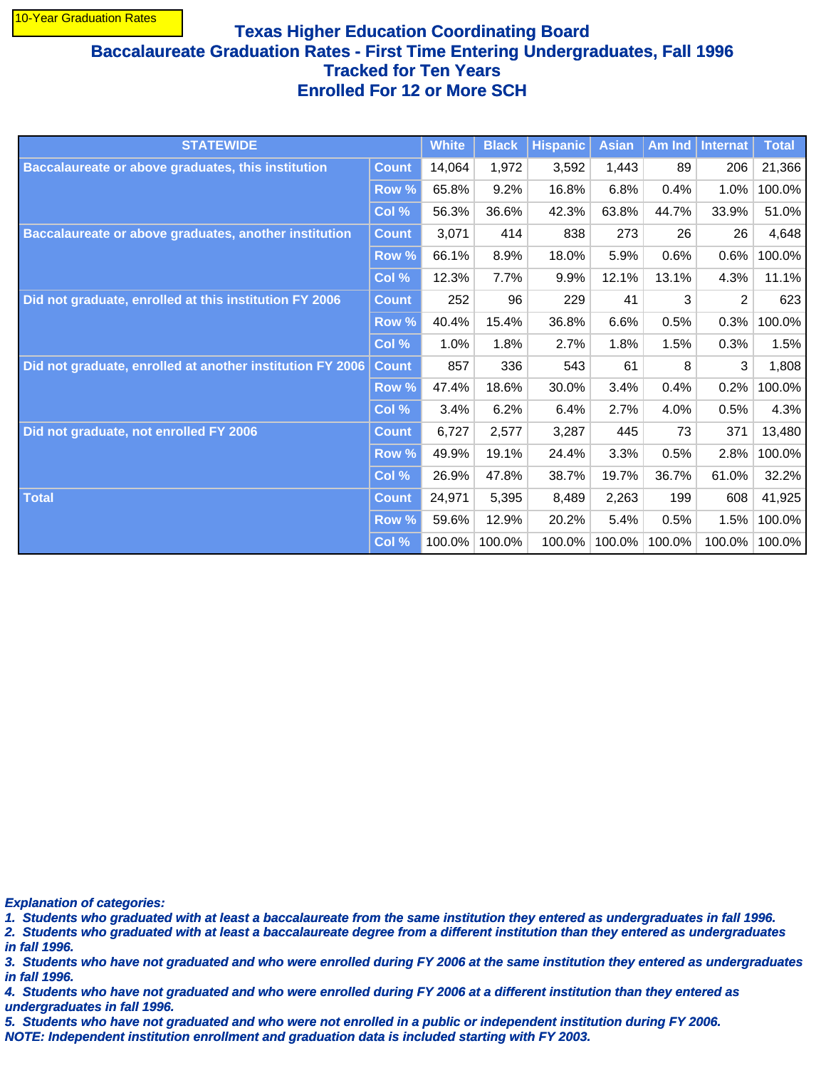## **Texas Higher Education Coordinating Board Baccalaureate Graduation Rates - First Time Entering Undergraduates, Fall 1996 Tracked for Ten Years Enrolled For 12 or More SCH**

| <b>STATEWIDE</b>                                          |                  | <b>White</b> | <b>Black</b> | <b>Hispanic</b> | <b>Asian</b> | Am Ind | <b>Internat</b> | <b>Total</b> |
|-----------------------------------------------------------|------------------|--------------|--------------|-----------------|--------------|--------|-----------------|--------------|
| <b>Baccalaureate or above graduates, this institution</b> | <b>Count</b>     | 14,064       | 1,972        | 3,592           | 1,443        | 89     | 206             | 21,366       |
|                                                           | Row <sup>%</sup> | 65.8%        | 9.2%         | 16.8%           | 6.8%         | 0.4%   | 1.0%            | 100.0%       |
|                                                           | Col %            | 56.3%        | 36.6%        | 42.3%           | 63.8%        | 44.7%  | 33.9%           | 51.0%        |
| Baccalaureate or above graduates, another institution     | <b>Count</b>     | 3,071        | 414          | 838             | 273          | 26     | 26              | 4,648        |
|                                                           | Row %            | 66.1%        | 8.9%         | 18.0%           | 5.9%         | 0.6%   | 0.6%            | 100.0%       |
|                                                           | Col %            | 12.3%        | 7.7%         | 9.9%            | 12.1%        | 13.1%  | 4.3%            | 11.1%        |
| Did not graduate, enrolled at this institution FY 2006    | <b>Count</b>     | 252          | 96           | 229             | 41           | 3      | 2               | 623          |
|                                                           | Row %            | 40.4%        | 15.4%        | 36.8%           | 6.6%         | 0.5%   | 0.3%            | 100.0%       |
|                                                           | Col %            | 1.0%         | 1.8%         | 2.7%            | 1.8%         | 1.5%   | 0.3%            | 1.5%         |
| Did not graduate, enrolled at another institution FY 2006 | <b>Count</b>     | 857          | 336          | 543             | 61           | 8      | 3               | 1,808        |
|                                                           | Row %            | 47.4%        | 18.6%        | 30.0%           | 3.4%         | 0.4%   | 0.2%            | 100.0%       |
|                                                           | Col %            | 3.4%         | 6.2%         | 6.4%            | 2.7%         | 4.0%   | 0.5%            | 4.3%         |
| Did not graduate, not enrolled FY 2006                    | <b>Count</b>     | 6,727        | 2,577        | 3,287           | 445          | 73     | 371             | 13,480       |
|                                                           | Row %            | 49.9%        | 19.1%        | 24.4%           | 3.3%         | 0.5%   | 2.8%            | 100.0%       |
|                                                           | Col %            | 26.9%        | 47.8%        | 38.7%           | 19.7%        | 36.7%  | 61.0%           | 32.2%        |
| <b>Total</b>                                              | <b>Count</b>     | 24,971       | 5,395        | 8,489           | 2,263        | 199    | 608             | 41,925       |
|                                                           | Row %            | 59.6%        | 12.9%        | 20.2%           | 5.4%         | 0.5%   | 1.5%            | 100.0%       |
|                                                           | Col %            | 100.0%       | 100.0%       | 100.0%          | 100.0%       | 100.0% | 100.0%          | 100.0%       |

**Explanation of categories:**

**1. Students who graduated with at least a baccalaureate from the same institution they entered as undergraduates in fall 1996.**

**in fall 1996. 2. Students who graduated with at least a baccalaureate degree from a different institution than they entered as undergraduates**

**in fall 1996. 3. Students who have not graduated and who were enrolled during FY 2006 at the same institution they entered as undergraduates**

**undergraduates in fall 1996. 4. Students who have not graduated and who were enrolled during FY 2006 at a different institution than they entered as**

**NOTE: Independent institution enrollment and graduation data is included starting with FY 2003. 5. Students who have not graduated and who were not enrolled in a public or independent institution during FY 2006.**